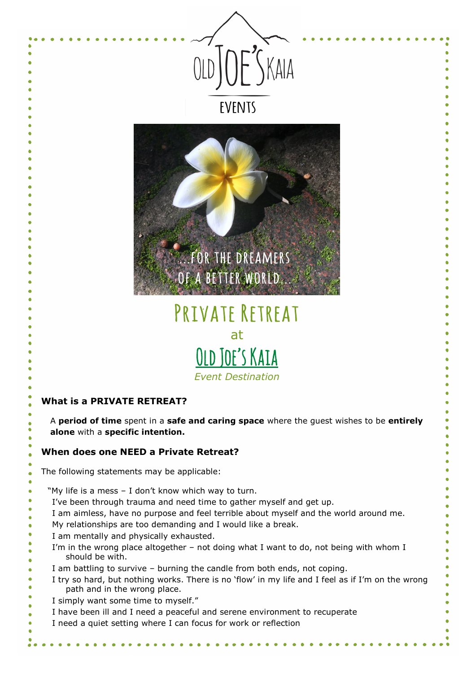



# PRIVATE RETREAT at OLD JOE'S KAIA *Event Destination*

## **What is a PRIVATE RETREAT?**

A **period of time** spent in a **safe and caring space** where the guest wishes to be **entirely alone** with a **specific intention.**

#### **When does one NEED a Private Retreat?**

The following statements may be applicable:

- "My life is a mess I don't know which way to turn.
- I've been through trauma and need time to gather myself and get up.
- I am aimless, have no purpose and feel terrible about myself and the world around me.
- My relationships are too demanding and I would like a break.
- I am mentally and physically exhausted.
	- I'm in the wrong place altogether not doing what I want to do, not being with whom I should be with.
- I am battling to survive burning the candle from both ends, not coping.
- I try so hard, but nothing works. There is no 'flow' in my life and I feel as if I'm on the wrong path and in the wrong place.
- I simply want some time to myself."
- I have been ill and I need a peaceful and serene environment to recuperate
- I need a quiet setting where I can focus for work or reflection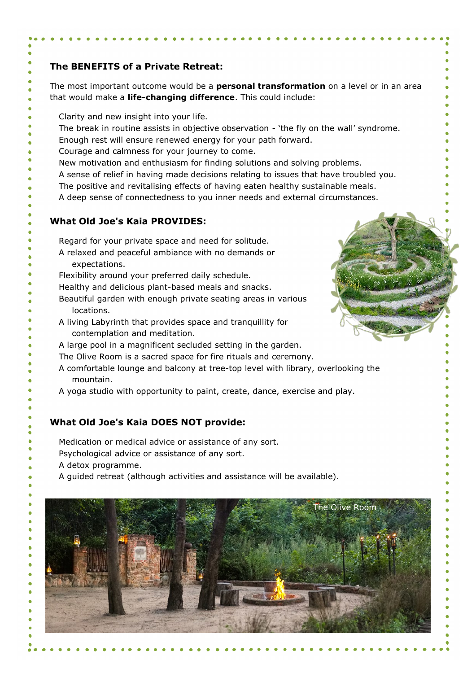### **The BENEFITS of a Private Retreat:**

The most important outcome would be a **personal transformation** on a level or in an area that would make a **life-changing difference**. This could include:

- Clarity and new insight into your life.
- The break in routine assists in objective observation 'the fly on the wall' syndrome.
- Enough rest will ensure renewed energy for your path forward.
- Courage and calmness for your journey to come.
- New motivation and enthusiasm for finding solutions and solving problems.
- A sense of relief in having made decisions relating to issues that have troubled you.
- The positive and revitalising effects of having eaten healthy sustainable meals.
- A deep sense of connectedness to you inner needs and external circumstances.

#### **What Old Joe's Kaia PROVIDES:**

Regard for your private space and need for solitude.

- A relaxed and peaceful ambiance with no demands or expectations.
- Flexibility around your preferred daily schedule.
- Healthy and delicious plant-based meals and snacks.
- Beautiful garden with enough private seating areas in various locations.
- A living Labyrinth that provides space and tranquillity for contemplation and meditation.
- A large pool in a magnificent secluded setting in the garden.
- The Olive Room is a sacred space for fire rituals and ceremony.
- A comfortable lounge and balcony at tree-top level with library, overlooking the mountain.
- A yoga studio with opportunity to paint, create, dance, exercise and play.

#### **What Old Joe's Kaia DOES NOT provide:**

Medication or medical advice or assistance of any sort.

Psychological advice or assistance of any sort.

- A detox programme.
- A guided retreat (although activities and assistance will be available).